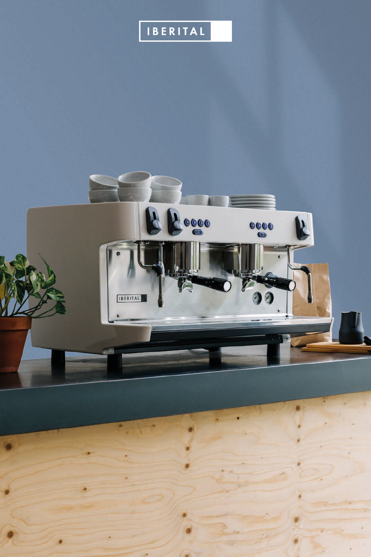## IBERITAL

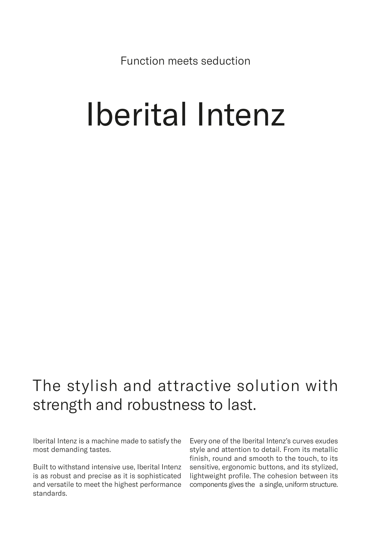Function meets seduction

## Iberital Intenz

## The stylish and attractive solution with strength and robustness to last.

Iberital Intenz is a machine made to satisfy the most demanding tastes.

Built to withstand intensive use, Iberital Intenz is as robust and precise as it is sophisticated and versatile to meet the highest performance standards.

Every one of the Iberital Intenz's curves exudes style and attention to detail. From its metallic finish, round and smooth to the touch, to its sensitive, ergonomic buttons, and its stylized, lightweight profile. The cohesion between its components gives the a single, uniform structure.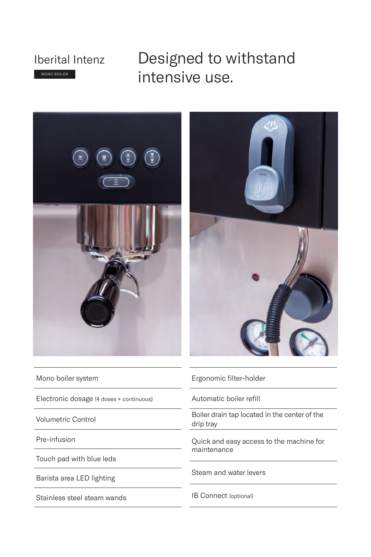

Designed to withstand intensive use.



Mono boiler system

Electronic dosage (4 doses + continuous)

Volumetric Control

Pre-infusion

Touch pad with blue leds

Barista area LED lighting

Stainless steel steam wands



Ergonomic filter-holder

Automatic boiler refill

Boiler drain tap located in the center of the drip tray

Quick and easy access to the machine for maintenance

Steam and water levers

IB Connect (optional)